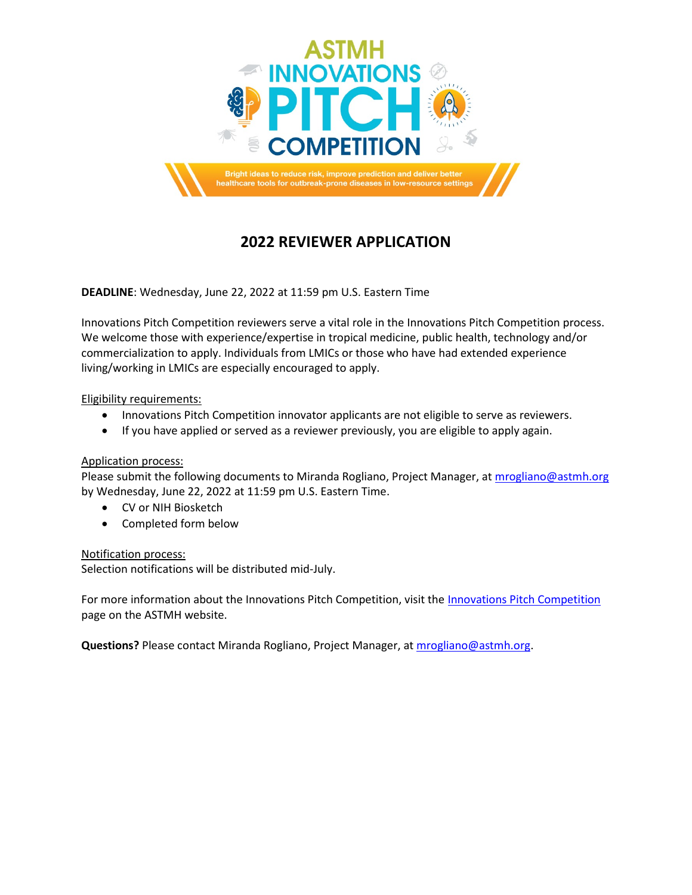

## **2022 REVIEWER APPLICATION**

**DEADLINE**: Wednesday, June 22, 2022 at 11:59 pm U.S. Eastern Time

Innovations Pitch Competition reviewers serve a vital role in the Innovations Pitch Competition process. We welcome those with experience/expertise in tropical medicine, public health, technology and/or commercialization to apply. Individuals from LMICs or those who have had extended experience living/working in LMICs are especially encouraged to apply.

## Eligibility requirements:

- Innovations Pitch Competition innovator applicants are not eligible to serve as reviewers.
- If you have applied or served as a reviewer previously, you are eligible to apply again.

## Application process:

Please submit the following documents to Miranda Rogliano, Project Manager, at [mrogliano@astmh.org](mailto:mrogliano@astmh.org) by Wednesday, June 22, 2022 at 11:59 pm U.S. Eastern Time.

- CV or NIH Biosketch
- Completed form below

## Notification process:

Selection notifications will be distributed mid-July.

For more information about the Innovations Pitch Competition, visit the [Innovations Pitch Competition](https://www.astmh.org/annual-meeting/outbreak-innovations-competition) page on the ASTMH website.

**Questions?** Please contact Miranda Rogliano, Project Manager, a[t mrogliano@astmh.org.](mailto:mrogliano@astmh.org)